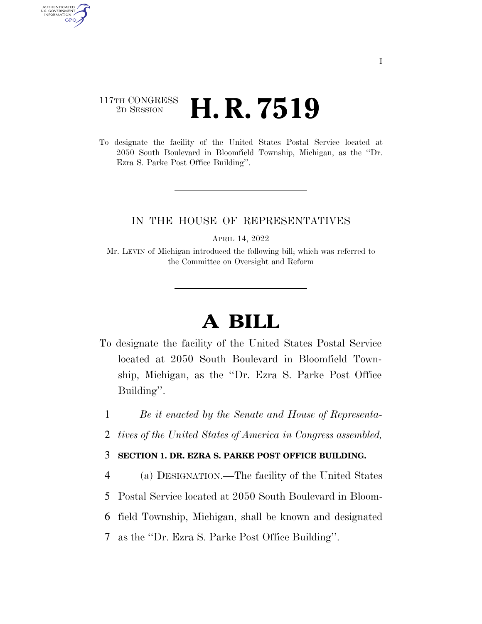## 117TH CONGRESS <sup>2D SESSION</sup> **H. R. 7519**

AUTHENTICATED U.S. GOVERNMENT **GPO** 

> To designate the facility of the United States Postal Service located at 2050 South Boulevard in Bloomfield Township, Michigan, as the ''Dr. Ezra S. Parke Post Office Building''.

## IN THE HOUSE OF REPRESENTATIVES

APRIL 14, 2022

Mr. LEVIN of Michigan introduced the following bill; which was referred to the Committee on Oversight and Reform

## **A BILL**

- To designate the facility of the United States Postal Service located at 2050 South Boulevard in Bloomfield Township, Michigan, as the ''Dr. Ezra S. Parke Post Office Building''.
	- 1 *Be it enacted by the Senate and House of Representa-*
	- 2 *tives of the United States of America in Congress assembled,*
	- 3 **SECTION 1. DR. EZRA S. PARKE POST OFFICE BUILDING.**
	- 4 (a) DESIGNATION.—The facility of the United States
	- 5 Postal Service located at 2050 South Boulevard in Bloom-
- 6 field Township, Michigan, shall be known and designated
- 7 as the ''Dr. Ezra S. Parke Post Office Building''.